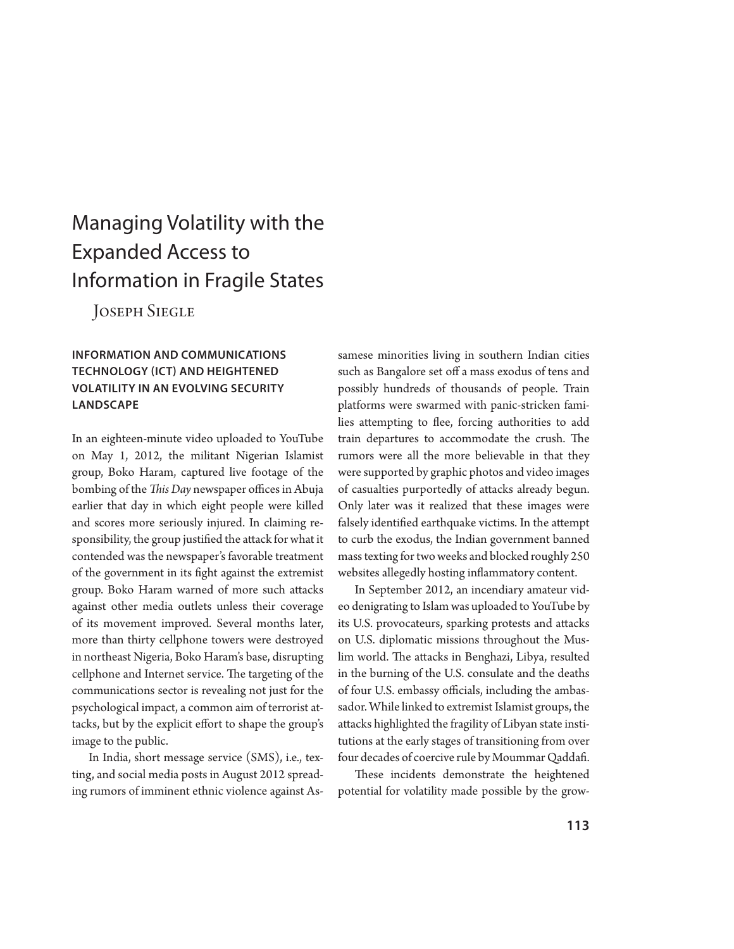# Managing Volatility with the Expanded Access to Information in Fragile States

Joseph Siegle

# **INFORMATION AND COMMUNICATIONS TECHNOLOGY (ICT) AND HEIGHTENED VOLATILITY IN AN EVOLVING SECURITY LANDSCAPE**

In an eighteen-minute video uploaded to YouTube on May 1, 2012, the militant Nigerian Islamist group, Boko Haram, captured live footage of the bombing of the *This Day* newspaper offices in Abuja earlier that day in which eight people were killed and scores more seriously injured. In claiming responsibility, the group justified the attack for what it contended was the newspaper's favorable treatment of the government in its fight against the extremist group. Boko Haram warned of more such attacks against other media outlets unless their coverage of its movement improved. Several months later, more than thirty cellphone towers were destroyed in northeast Nigeria, Boko Haram's base, disrupting cellphone and Internet service. The targeting of the communications sector is revealing not just for the psychological impact, a common aim of terrorist attacks, but by the explicit effort to shape the group's image to the public.

In India, short message service (SMS), i.e., texting, and social media posts in August 2012 spreading rumors of imminent ethnic violence against Assamese minorities living in southern Indian cities such as Bangalore set off a mass exodus of tens and possibly hundreds of thousands of people. Train platforms were swarmed with panic-stricken families attempting to flee, forcing authorities to add train departures to accommodate the crush. The rumors were all the more believable in that they were supported by graphic photos and video images of casualties purportedly of attacks already begun. Only later was it realized that these images were falsely identified earthquake victims. In the attempt to curb the exodus, the Indian government banned mass texting for two weeks and blocked roughly 250 websites allegedly hosting inflammatory content.

In September 2012, an incendiary amateur video denigrating to Islam was uploaded to YouTube by its U.S. provocateurs, sparking protests and attacks on U.S. diplomatic missions throughout the Muslim world. The attacks in Benghazi, Libya, resulted in the burning of the U.S. consulate and the deaths of four U.S. embassy officials, including the ambassador. While linked to extremist Islamist groups, the attacks highlighted the fragility of Libyan state institutions at the early stages of transitioning from over four decades of coercive rule by Moummar Qaddafi.

These incidents demonstrate the heightened potential for volatility made possible by the grow-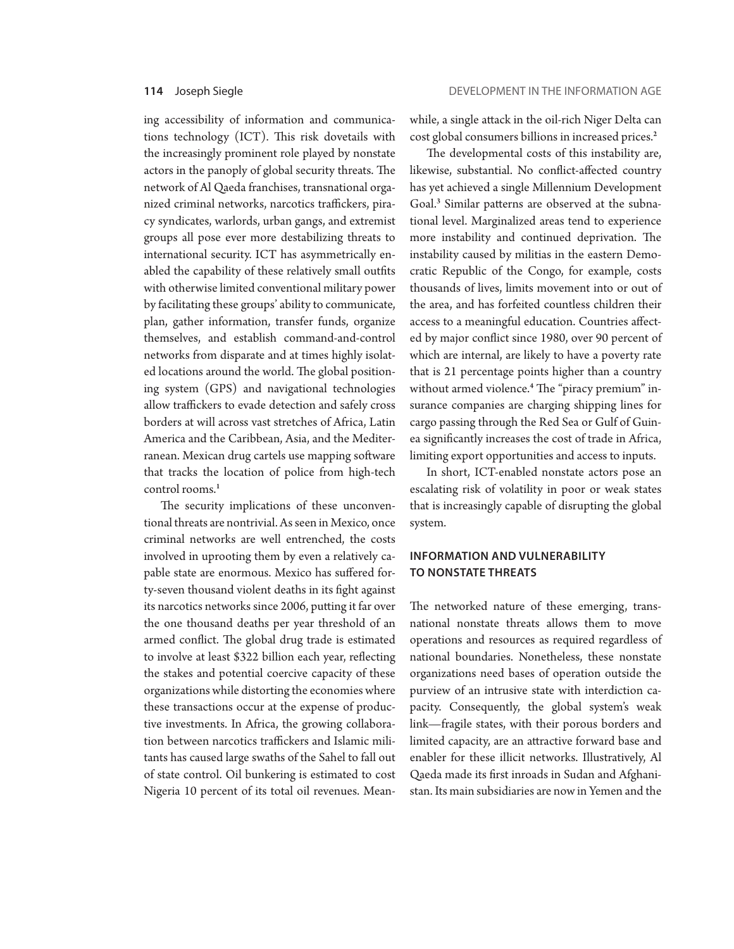ing accessibility of information and communications technology (ICT). This risk dovetails with the increasingly prominent role played by nonstate actors in the panoply of global security threats. The network of Al Qaeda franchises, transnational organized criminal networks, narcotics traffickers, piracy syndicates, warlords, urban gangs, and extremist groups all pose ever more destabilizing threats to international security. ICT has asymmetrically enabled the capability of these relatively small outfits with otherwise limited conventional military power by facilitating these groups' ability to communicate, plan, gather information, transfer funds, organize themselves, and establish command-and-control networks from disparate and at times highly isolated locations around the world. The global positioning system (GPS) and navigational technologies allow traffickers to evade detection and safely cross borders at will across vast stretches of Africa, Latin America and the Caribbean, Asia, and the Mediterranean. Mexican drug cartels use mapping software that tracks the location of police from high-tech control rooms.<sup>1</sup>

The security implications of these unconventional threats are nontrivial. As seen in Mexico, once criminal networks are well entrenched, the costs involved in uprooting them by even a relatively capable state are enormous. Mexico has suffered forty-seven thousand violent deaths in its fight against its narcotics networks since 2006, putting it far over the one thousand deaths per year threshold of an armed conflict. The global drug trade is estimated to involve at least \$322 billion each year, reflecting the stakes and potential coercive capacity of these organizations while distorting the economies where these transactions occur at the expense of productive investments. In Africa, the growing collaboration between narcotics traffickers and Islamic militants has caused large swaths of the Sahel to fall out of state control. Oil bunkering is estimated to cost Nigeria 10 percent of its total oil revenues. Meanwhile, a single attack in the oil-rich Niger Delta can cost global consumers billions in increased prices.<sup>2</sup>

The developmental costs of this instability are, likewise, substantial. No conflict-affected country has yet achieved a single Millennium Development Goal.<sup>3</sup> Similar patterns are observed at the subnational level. Marginalized areas tend to experience more instability and continued deprivation. The instability caused by militias in the eastern Democratic Republic of the Congo, for example, costs thousands of lives, limits movement into or out of the area, and has forfeited countless children their access to a meaningful education. Countries affected by major conflict since 1980, over 90 percent of which are internal, are likely to have a poverty rate that is 21 percentage points higher than a country without armed violence.<sup>4</sup> The "piracy premium" insurance companies are charging shipping lines for cargo passing through the Red Sea or Gulf of Guinea significantly increases the cost of trade in Africa, limiting export opportunities and access to inputs.

In short, ICT-enabled nonstate actors pose an escalating risk of volatility in poor or weak states that is increasingly capable of disrupting the global system.

### **INFORMATION AND VULNERABILITY TO NONSTATE THREATS**

The networked nature of these emerging, transnational nonstate threats allows them to move operations and resources as required regardless of national boundaries. Nonetheless, these nonstate organizations need bases of operation outside the purview of an intrusive state with interdiction capacity. Consequently, the global system's weak link—fragile states, with their porous borders and limited capacity, are an attractive forward base and enabler for these illicit networks. Illustratively, Al Qaeda made its first inroads in Sudan and Afghanistan. Its main subsidiaries are now in Yemen and the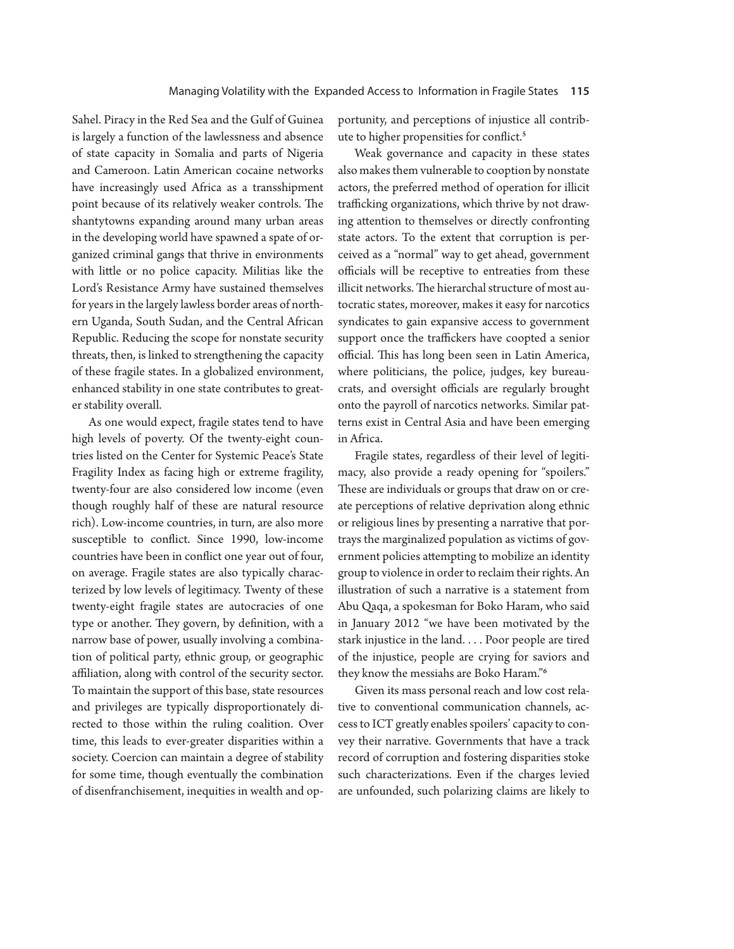Sahel. Piracy in the Red Sea and the Gulf of Guinea is largely a function of the lawlessness and absence of state capacity in Somalia and parts of Nigeria and Cameroon. Latin American cocaine networks have increasingly used Africa as a transshipment point because of its relatively weaker controls. The shantytowns expanding around many urban areas in the developing world have spawned a spate of organized criminal gangs that thrive in environments with little or no police capacity. Militias like the Lord's Resistance Army have sustained themselves for years in the largely lawless border areas of northern Uganda, South Sudan, and the Central African Republic. Reducing the scope for nonstate security threats, then, is linked to strengthening the capacity of these fragile states. In a globalized environment, enhanced stability in one state contributes to greater stability overall.

As one would expect, fragile states tend to have high levels of poverty. Of the twenty-eight countries listed on the Center for Systemic Peace's State Fragility Index as facing high or extreme fragility, twenty-four are also considered low income (even though roughly half of these are natural resource rich). Low-income countries, in turn, are also more susceptible to conflict. Since 1990, low-income countries have been in conflict one year out of four, on average. Fragile states are also typically characterized by low levels of legitimacy. Twenty of these twenty-eight fragile states are autocracies of one type or another. They govern, by definition, with a narrow base of power, usually involving a combination of political party, ethnic group, or geographic affiliation, along with control of the security sector. To maintain the support of this base, state resources and privileges are typically disproportionately directed to those within the ruling coalition. Over time, this leads to ever-greater disparities within a society. Coercion can maintain a degree of stability for some time, though eventually the combination of disenfranchisement, inequities in wealth and opportunity, and perceptions of injustice all contribute to higher propensities for conflict.<sup>5</sup>

Weak governance and capacity in these states also makes them vulnerable to cooption by nonstate actors, the preferred method of operation for illicit trafficking organizations, which thrive by not drawing attention to themselves or directly confronting state actors. To the extent that corruption is perceived as a "normal" way to get ahead, government officials will be receptive to entreaties from these illicit networks. The hierarchal structure of most autocratic states, moreover, makes it easy for narcotics syndicates to gain expansive access to government support once the traffickers have coopted a senior official. This has long been seen in Latin America, where politicians, the police, judges, key bureaucrats, and oversight officials are regularly brought onto the payroll of narcotics networks. Similar patterns exist in Central Asia and have been emerging in Africa.

Fragile states, regardless of their level of legitimacy, also provide a ready opening for "spoilers." These are individuals or groups that draw on or create perceptions of relative deprivation along ethnic or religious lines by presenting a narrative that portrays the marginalized population as victims of government policies attempting to mobilize an identity group to violence in order to reclaim their rights. An illustration of such a narrative is a statement from Abu Qaqa, a spokesman for Boko Haram, who said in January 2012 "we have been motivated by the stark injustice in the land. . . . Poor people are tired of the injustice, people are crying for saviors and they know the messiahs are Boko Haram."<sup>6</sup>

Given its mass personal reach and low cost relative to conventional communication channels, access to ICT greatly enables spoilers' capacity to convey their narrative. Governments that have a track record of corruption and fostering disparities stoke such characterizations. Even if the charges levied are unfounded, such polarizing claims are likely to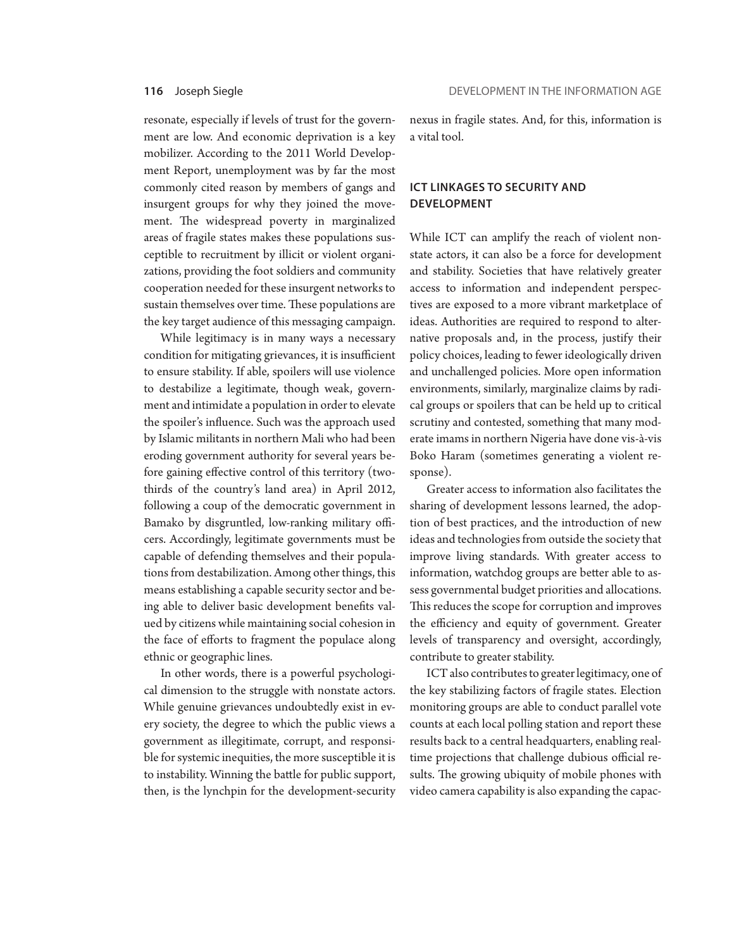resonate, especially if levels of trust for the government are low. And economic deprivation is a key mobilizer. According to the 2011 World Development Report, unemployment was by far the most commonly cited reason by members of gangs and insurgent groups for why they joined the movement. The widespread poverty in marginalized areas of fragile states makes these populations susceptible to recruitment by illicit or violent organizations, providing the foot soldiers and community cooperation needed for these insurgent networks to sustain themselves over time. These populations are the key target audience of this messaging campaign.

While legitimacy is in many ways a necessary condition for mitigating grievances, it is insufficient to ensure stability. If able, spoilers will use violence to destabilize a legitimate, though weak, government and intimidate a population in order to elevate the spoiler's influence. Such was the approach used by Islamic militants in northern Mali who had been eroding government authority for several years before gaining effective control of this territory (twothirds of the country's land area) in April 2012, following a coup of the democratic government in Bamako by disgruntled, low-ranking military officers. Accordingly, legitimate governments must be capable of defending themselves and their populations from destabilization. Among other things, this means establishing a capable security sector and being able to deliver basic development benefits valued by citizens while maintaining social cohesion in the face of efforts to fragment the populace along ethnic or geographic lines.

In other words, there is a powerful psychological dimension to the struggle with nonstate actors. While genuine grievances undoubtedly exist in every society, the degree to which the public views a government as illegitimate, corrupt, and responsible for systemic inequities, the more susceptible it is to instability. Winning the battle for public support, then, is the lynchpin for the development-security

nexus in fragile states. And, for this, information is a vital tool.

### **ICT LINKAGES TO SECURITY AND DEVELOPMENT**

While ICT can amplify the reach of violent nonstate actors, it can also be a force for development and stability. Societies that have relatively greater access to information and independent perspectives are exposed to a more vibrant marketplace of ideas. Authorities are required to respond to alternative proposals and, in the process, justify their policy choices, leading to fewer ideologically driven and unchallenged policies. More open information environments, similarly, marginalize claims by radical groups or spoilers that can be held up to critical scrutiny and contested, something that many moderate imams in northern Nigeria have done vis-à-vis Boko Haram (sometimes generating a violent response).

Greater access to information also facilitates the sharing of development lessons learned, the adoption of best practices, and the introduction of new ideas and technologies from outside the society that improve living standards. With greater access to information, watchdog groups are better able to assess governmental budget priorities and allocations. This reduces the scope for corruption and improves the efficiency and equity of government. Greater levels of transparency and oversight, accordingly, contribute to greater stability.

ICT also contributes to greater legitimacy, one of the key stabilizing factors of fragile states. Election monitoring groups are able to conduct parallel vote counts at each local polling station and report these results back to a central headquarters, enabling realtime projections that challenge dubious official results. The growing ubiquity of mobile phones with video camera capability is also expanding the capac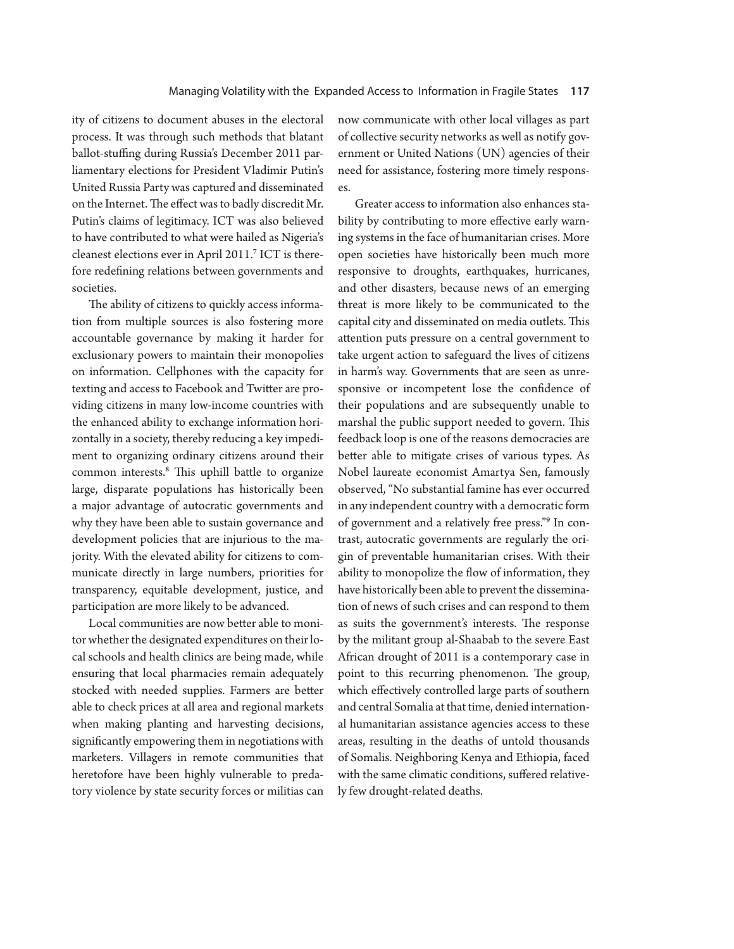ity of citizens to document abuses in the electoral process. It was through such methods that blatant ballot-stuffing during Russia's December 2011 parliamentary elections for President Vladimir Putin's United Russia Party was captured and disseminated on the Internet. The effect was to badly discredit Mr. Putin's claims of legitimacy. ICT was also believed to have contributed to what were hailed as Nigeria's cleanest elections ever in April 2011.<sup>7</sup> ICT is therefore redefining relations between governments and societies.

The ability of citizens to quickly access information from multiple sources is also fostering more accountable governance by making it harder for exclusionary powers to maintain their monopolies on information. Cellphones with the capacity for texting and access to Facebook and Twitter are providing citizens in many low-income countries with the enhanced ability to exchange information horizontally in a society, thereby reducing a key impediment to organizing ordinary citizens around their common interests.<sup>8</sup> This uphill battle to organize large, disparate populations has historically been a major advantage of autocratic governments and why they have been able to sustain governance and development policies that are injurious to the majority. With the elevated ability for citizens to communicate directly in large numbers, priorities for transparency, equitable development, justice, and participation are more likely to be advanced.

Local communities are now better able to monitor whether the designated expenditures on their local schools and health clinics are being made, while ensuring that local pharmacies remain adequately stocked with needed supplies. Farmers are better able to check prices at all area and regional markets when making planting and harvesting decisions, significantly empowering them in negotiations with marketers. Villagers in remote communities that heretofore have been highly vulnerable to predatory violence by state security forces or militias can now communicate with other local villages as part of collective security networks as well as notify government or United Nations (UN) agencies of their need for assistance, fostering more timely responses.

Greater access to information also enhances stability by contributing to more effective early warning systems in the face of humanitarian crises. More open societies have historically been much more responsive to droughts, earthquakes, hurricanes, and other disasters, because news of an emerging threat is more likely to be communicated to the capital city and disseminated on media outlets. This attention puts pressure on a central government to take urgent action to safeguard the lives of citizens in harm's way. Governments that are seen as unresponsive or incompetent lose the confidence of their populations and are subsequently unable to marshal the public support needed to govern. This feedback loop is one of the reasons democracies are better able to mitigate crises of various types. As Nobel laureate economist Amartya Sen, famously observed, "No substantial famine has ever occurred in any independent country with a democratic form of government and a relatively free press."<sup>9</sup> In contrast, autocratic governments are regularly the origin of preventable humanitarian crises. With their ability to monopolize the flow of information, they have historically been able to prevent the dissemination of news of such crises and can respond to them as suits the government's interests. The response by the militant group al-Shaabab to the severe East African drought of 2011 is a contemporary case in point to this recurring phenomenon. The group, which effectively controlled large parts of southern and central Somalia at that time, denied international humanitarian assistance agencies access to these areas, resulting in the deaths of untold thousands of Somalis. Neighboring Kenya and Ethiopia, faced with the same climatic conditions, suffered relatively few drought-related deaths.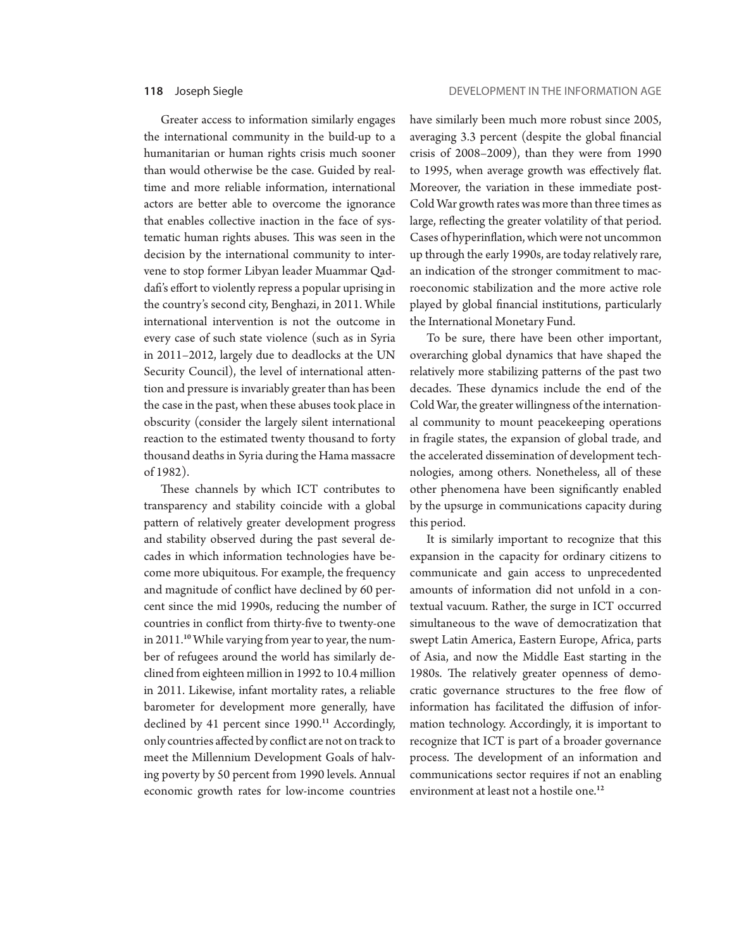Greater access to information similarly engages the international community in the build-up to a humanitarian or human rights crisis much sooner than would otherwise be the case. Guided by realtime and more reliable information, international actors are better able to overcome the ignorance that enables collective inaction in the face of systematic human rights abuses. This was seen in the decision by the international community to intervene to stop former Libyan leader Muammar Qaddafi's effort to violently repress a popular uprising in the country's second city, Benghazi, in 2011. While international intervention is not the outcome in every case of such state violence (such as in Syria in 2011–2012, largely due to deadlocks at the UN Security Council), the level of international attention and pressure is invariably greater than has been the case in the past, when these abuses took place in obscurity (consider the largely silent international reaction to the estimated twenty thousand to forty thousand deaths in Syria during the Hama massacre of 1982).

These channels by which ICT contributes to transparency and stability coincide with a global pattern of relatively greater development progress and stability observed during the past several decades in which information technologies have become more ubiquitous. For example, the frequency and magnitude of conflict have declined by 60 percent since the mid 1990s, reducing the number of countries in conflict from thirty-five to twenty-one in 2011.<sup>10</sup> While varying from year to year, the number of refugees around the world has similarly declined from eighteen million in 1992 to 10.4 million in 2011. Likewise, infant mortality rates, a reliable barometer for development more generally, have declined by 41 percent since 1990.<sup>11</sup> Accordingly, only countries affected by conflict are not on track to meet the Millennium Development Goals of halving poverty by 50 percent from 1990 levels. Annual economic growth rates for low-income countries

have similarly been much more robust since 2005, averaging 3.3 percent (despite the global financial crisis of 2008–2009), than they were from 1990 to 1995, when average growth was effectively flat. Moreover, the variation in these immediate post-Cold War growth rates was more than three times as large, reflecting the greater volatility of that period. Cases of hyperinflation, which were not uncommon up through the early 1990s, are today relatively rare, an indication of the stronger commitment to macroeconomic stabilization and the more active role played by global financial institutions, particularly the International Monetary Fund.

To be sure, there have been other important, overarching global dynamics that have shaped the relatively more stabilizing patterns of the past two decades. These dynamics include the end of the Cold War, the greater willingness of the international community to mount peacekeeping operations in fragile states, the expansion of global trade, and the accelerated dissemination of development technologies, among others. Nonetheless, all of these other phenomena have been significantly enabled by the upsurge in communications capacity during this period.

It is similarly important to recognize that this expansion in the capacity for ordinary citizens to communicate and gain access to unprecedented amounts of information did not unfold in a contextual vacuum. Rather, the surge in ICT occurred simultaneous to the wave of democratization that swept Latin America, Eastern Europe, Africa, parts of Asia, and now the Middle East starting in the 1980s. The relatively greater openness of democratic governance structures to the free flow of information has facilitated the diffusion of information technology. Accordingly, it is important to recognize that ICT is part of a broader governance process. The development of an information and communications sector requires if not an enabling environment at least not a hostile one.<sup>12</sup>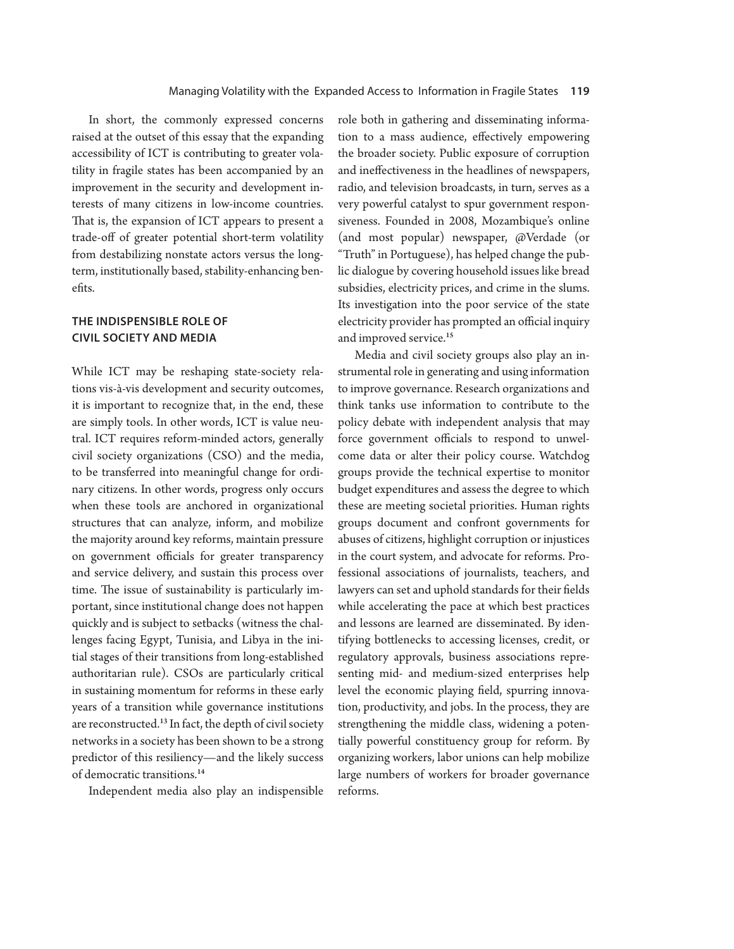In short, the commonly expressed concerns raised at the outset of this essay that the expanding accessibility of ICT is contributing to greater volatility in fragile states has been accompanied by an improvement in the security and development interests of many citizens in low-income countries. That is, the expansion of ICT appears to present a trade-off of greater potential short-term volatility from destabilizing nonstate actors versus the longterm, institutionally based, stability-enhancing benefits.

# **THE INDISPENSIBLE ROLE OF CIVIL SOCIETY AND MEDIA**

While ICT may be reshaping state-society relations vis-à-vis development and security outcomes, it is important to recognize that, in the end, these are simply tools. In other words, ICT is value neutral. ICT requires reform-minded actors, generally civil society organizations (CSO) and the media, to be transferred into meaningful change for ordinary citizens. In other words, progress only occurs when these tools are anchored in organizational structures that can analyze, inform, and mobilize the majority around key reforms, maintain pressure on government officials for greater transparency and service delivery, and sustain this process over time. The issue of sustainability is particularly important, since institutional change does not happen quickly and is subject to setbacks (witness the challenges facing Egypt, Tunisia, and Libya in the initial stages of their transitions from long-established authoritarian rule). CSOs are particularly critical in sustaining momentum for reforms in these early years of a transition while governance institutions are reconstructed.<sup>13</sup> In fact, the depth of civil society networks in a society has been shown to be a strong predictor of this resiliency—and the likely success of democratic transitions.<sup>14</sup>

Independent media also play an indispensible

role both in gathering and disseminating information to a mass audience, effectively empowering the broader society. Public exposure of corruption and ineffectiveness in the headlines of newspapers, radio, and television broadcasts, in turn, serves as a very powerful catalyst to spur government responsiveness. Founded in 2008, Mozambique's online (and most popular) newspaper, @Verdade (or "Truth" in Portuguese), has helped change the public dialogue by covering household issues like bread subsidies, electricity prices, and crime in the slums. Its investigation into the poor service of the state electricity provider has prompted an official inquiry and improved service.<sup>15</sup>

Media and civil society groups also play an instrumental role in generating and using information to improve governance. Research organizations and think tanks use information to contribute to the policy debate with independent analysis that may force government officials to respond to unwelcome data or alter their policy course. Watchdog groups provide the technical expertise to monitor budget expenditures and assess the degree to which these are meeting societal priorities. Human rights groups document and confront governments for abuses of citizens, highlight corruption or injustices in the court system, and advocate for reforms. Professional associations of journalists, teachers, and lawyers can set and uphold standards for their fields while accelerating the pace at which best practices and lessons are learned are disseminated. By identifying bottlenecks to accessing licenses, credit, or regulatory approvals, business associations representing mid- and medium-sized enterprises help level the economic playing field, spurring innovation, productivity, and jobs. In the process, they are strengthening the middle class, widening a potentially powerful constituency group for reform. By organizing workers, labor unions can help mobilize large numbers of workers for broader governance reforms.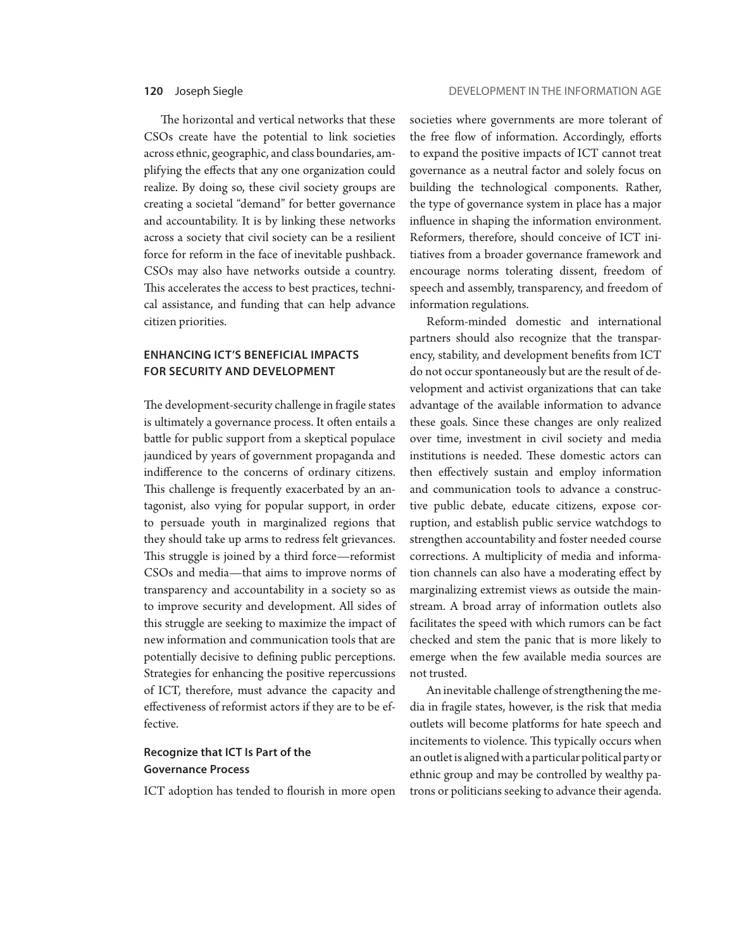The horizontal and vertical networks that these CSOs create have the potential to link societies across ethnic, geographic, and class boundaries, amplifying the effects that any one organization could realize. By doing so, these civil society groups are creating a societal "demand" for better governance and accountability. It is by linking these networks across a society that civil society can be a resilient force for reform in the face of inevitable pushback. CSOs may also have networks outside a country. This accelerates the access to best practices, technical assistance, and funding that can help advance citizen priorities.

## **ENHANCING ICT'S BENEFICIAL IMPACTS FOR SECURITY AND DEVELOPMENT**

The development-security challenge in fragile states is ultimately a governance process. It often entails a battle for public support from a skeptical populace jaundiced by years of government propaganda and indifference to the concerns of ordinary citizens. This challenge is frequently exacerbated by an antagonist, also vying for popular support, in order to persuade youth in marginalized regions that they should take up arms to redress felt grievances. This struggle is joined by a third force—reformist CSOs and media—that aims to improve norms of transparency and accountability in a society so as to improve security and development. All sides of this struggle are seeking to maximize the impact of new information and communication tools that are potentially decisive to defining public perceptions. Strategies for enhancing the positive repercussions of ICT, therefore, must advance the capacity and effectiveness of reformist actors if they are to be effective.

### **Recognize that ICT Is Part of the Governance Process**

ICT adoption has tended to flourish in more open

societies where governments are more tolerant of the free flow of information. Accordingly, efforts to expand the positive impacts of ICT cannot treat governance as a neutral factor and solely focus on building the technological components. Rather, the type of governance system in place has a major influence in shaping the information environment. Reformers, therefore, should conceive of ICT initiatives from a broader governance framework and encourage norms tolerating dissent, freedom of speech and assembly, transparency, and freedom of information regulations.

Reform-minded domestic and international partners should also recognize that the transparency, stability, and development benefits from ICT do not occur spontaneously but are the result of development and activist organizations that can take advantage of the available information to advance these goals. Since these changes are only realized over time, investment in civil society and media institutions is needed. These domestic actors can then effectively sustain and employ information and communication tools to advance a constructive public debate, educate citizens, expose corruption, and establish public service watchdogs to strengthen accountability and foster needed course corrections. A multiplicity of media and information channels can also have a moderating effect by marginalizing extremist views as outside the mainstream. A broad array of information outlets also facilitates the speed with which rumors can be fact checked and stem the panic that is more likely to emerge when the few available media sources are not trusted.

An inevitable challenge of strengthening the media in fragile states, however, is the risk that media outlets will become platforms for hate speech and incitements to violence. This typically occurs when an outlet is aligned with a particular political party or ethnic group and may be controlled by wealthy patrons or politicians seeking to advance their agenda.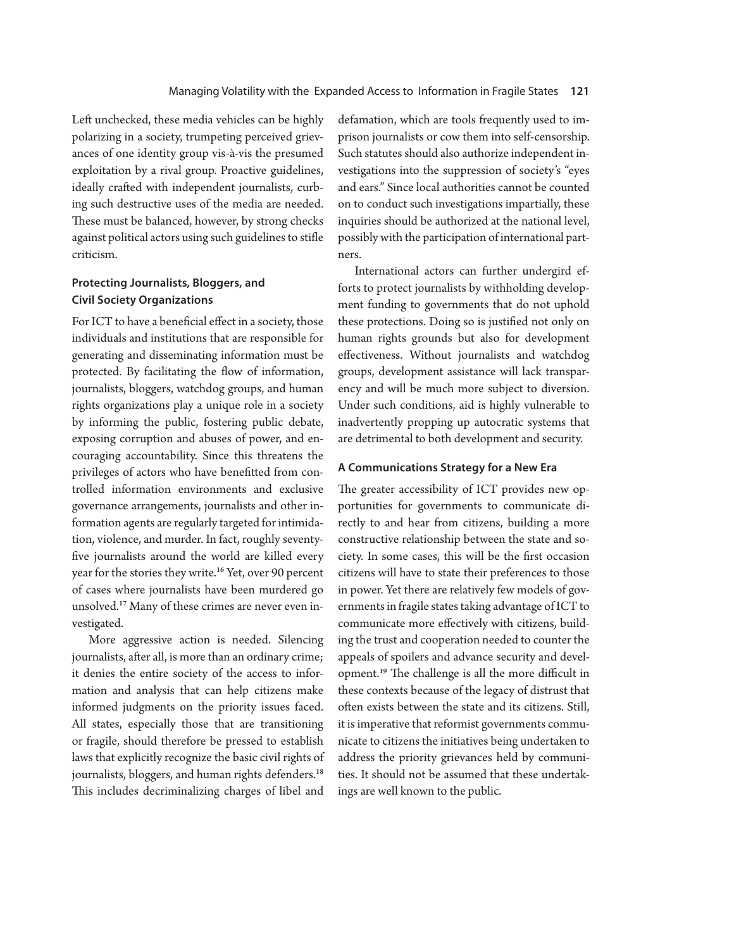Left unchecked, these media vehicles can be highly polarizing in a society, trumpeting perceived grievances of one identity group vis-à-vis the presumed exploitation by a rival group. Proactive guidelines, ideally crafted with independent journalists, curbing such destructive uses of the media are needed. These must be balanced, however, by strong checks against political actors using such guidelines to stifle criticism.

# **Protecting Journalists, Bloggers, and Civil Society Organizations**

For ICT to have a beneficial effect in a society, those individuals and institutions that are responsible for generating and disseminating information must be protected. By facilitating the flow of information, journalists, bloggers, watchdog groups, and human rights organizations play a unique role in a society by informing the public, fostering public debate, exposing corruption and abuses of power, and encouraging accountability. Since this threatens the privileges of actors who have benefitted from controlled information environments and exclusive governance arrangements, journalists and other information agents are regularly targeted for intimidation, violence, and murder. In fact, roughly seventyfive journalists around the world are killed every year for the stories they write.<sup>16</sup> Yet, over 90 percent of cases where journalists have been murdered go unsolved.17 Many of these crimes are never even investigated.

More aggressive action is needed. Silencing journalists, after all, is more than an ordinary crime; it denies the entire society of the access to information and analysis that can help citizens make informed judgments on the priority issues faced. All states, especially those that are transitioning or fragile, should therefore be pressed to establish laws that explicitly recognize the basic civil rights of journalists, bloggers, and human rights defenders.<sup>18</sup> This includes decriminalizing charges of libel and

defamation, which are tools frequently used to imprison journalists or cow them into self-censorship. Such statutes should also authorize independent investigations into the suppression of society's "eyes and ears." Since local authorities cannot be counted on to conduct such investigations impartially, these inquiries should be authorized at the national level, possibly with the participation of international partners.

International actors can further undergird efforts to protect journalists by withholding development funding to governments that do not uphold these protections. Doing so is justified not only on human rights grounds but also for development effectiveness. Without journalists and watchdog groups, development assistance will lack transparency and will be much more subject to diversion. Under such conditions, aid is highly vulnerable to inadvertently propping up autocratic systems that are detrimental to both development and security.

### **A Communications Strategy for a New Era**

The greater accessibility of ICT provides new opportunities for governments to communicate directly to and hear from citizens, building a more constructive relationship between the state and society. In some cases, this will be the first occasion citizens will have to state their preferences to those in power. Yet there are relatively few models of governments in fragile states taking advantage of ICT to communicate more effectively with citizens, building the trust and cooperation needed to counter the appeals of spoilers and advance security and development.<sup>19</sup> The challenge is all the more difficult in these contexts because of the legacy of distrust that often exists between the state and its citizens. Still, it is imperative that reformist governments communicate to citizens the initiatives being undertaken to address the priority grievances held by communities. It should not be assumed that these undertakings are well known to the public.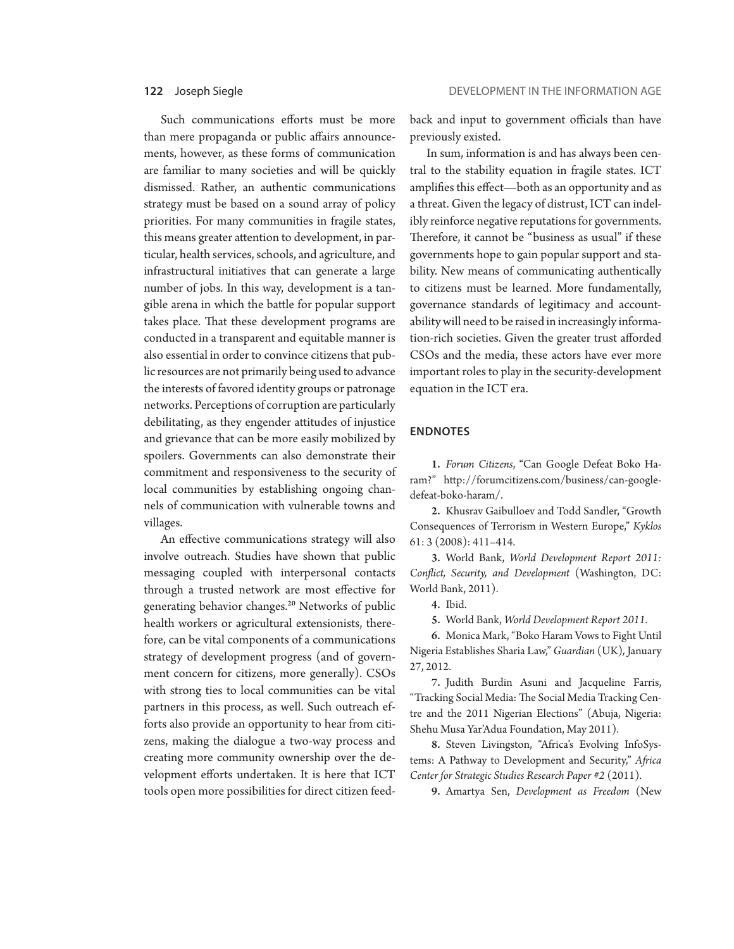Such communications efforts must be more than mere propaganda or public affairs announcements, however, as these forms of communication are familiar to many societies and will be quickly dismissed. Rather, an authentic communications strategy must be based on a sound array of policy priorities. For many communities in fragile states, this means greater attention to development, in particular, health services, schools, and agriculture, and infrastructural initiatives that can generate a large number of jobs. In this way, development is a tangible arena in which the battle for popular support takes place. That these development programs are conducted in a transparent and equitable manner is also essential in order to convince citizens that public resources are not primarily being used to advance the interests of favored identity groups or patronage networks. Perceptions of corruption are particularly debilitating, as they engender attitudes of injustice and grievance that can be more easily mobilized by spoilers. Governments can also demonstrate their commitment and responsiveness to the security of local communities by establishing ongoing channels of communication with vulnerable towns and villages.

An effective communications strategy will also involve outreach. Studies have shown that public messaging coupled with interpersonal contacts through a trusted network are most effective for generating behavior changes.<sup>20</sup> Networks of public health workers or agricultural extensionists, therefore, can be vital components of a communications strategy of development progress (and of government concern for citizens, more generally). CSOs with strong ties to local communities can be vital partners in this process, as well. Such outreach efforts also provide an opportunity to hear from citizens, making the dialogue a two-way process and creating more community ownership over the development efforts undertaken. It is here that ICT tools open more possibilities for direct citizen feedback and input to government officials than have previously existed.

In sum, information is and has always been central to the stability equation in fragile states. ICT amplifies this effect—both as an opportunity and as a threat. Given the legacy of distrust, ICT can indelibly reinforce negative reputations for governments. Therefore, it cannot be "business as usual" if these governments hope to gain popular support and stability. New means of communicating authentically to citizens must be learned. More fundamentally, governance standards of legitimacy and accountability will need to be raised in increasingly information-rich societies. Given the greater trust afforded CSOs and the media, these actors have ever more important roles to play in the security-development equation in the ICT era.

### **ENDNOTES**

1. *Forum Citizens*, "Can Google Defeat Boko Haram?" http://forumcitizens.com/business/can-googledefeat-boko-haram/.

2. Khusrav Gaibulloev and Todd Sandler, "Growth Consequences of Terrorism in Western Europe," *Kyklos*  61: 3 (2008): 411–414.

3. World Bank, *World Development Report 2011: Conflict, Security, and Development* (Washington, DC: World Bank, 2011).

4. Ibid.

5. World Bank, *World Development Report 2011*.

6. Monica Mark, "Boko Haram Vows to Fight Until Nigeria Establishes Sharia Law," *Guardian* (UK)*,* January 27, 2012.

7. Judith Burdin Asuni and Jacqueline Farris, "Tracking Social Media: The Social Media Tracking Centre and the 2011 Nigerian Elections" (Abuja, Nigeria: Shehu Musa Yar'Adua Foundation, May 2011).

8. Steven Livingston, "Africa's Evolving InfoSystems: A Pathway to Development and Security," *Africa Center for Strategic Studies Research Paper #2* (2011)*.* 

9. Amartya Sen, *Development as Freedom* (New